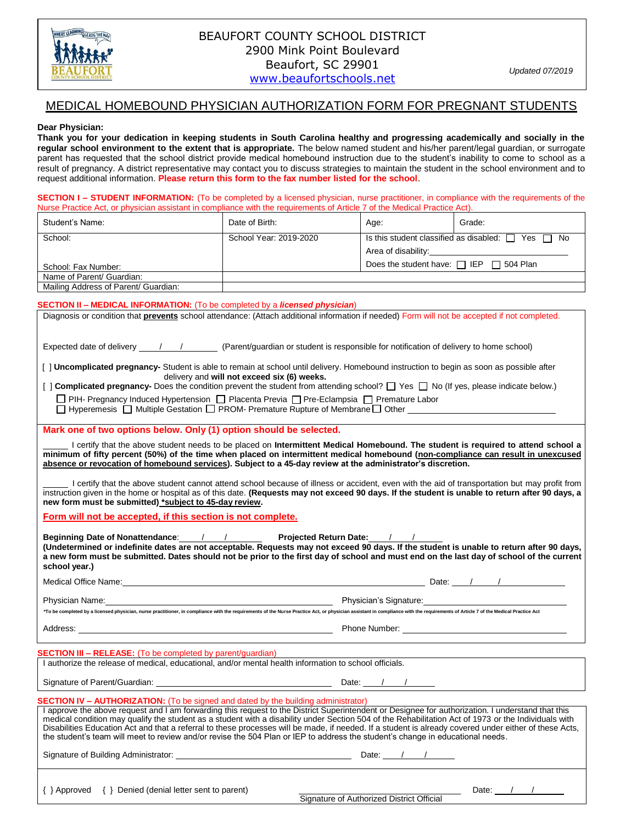

## MEDICAL HOMEBOUND PHYSICIAN AUTHORIZATION FORM FOR PREGNANT STUDENTS

### **Dear Physician:**

**Thank you for your dedication in keeping students in South Carolina healthy and progressing academically and socially in the regular school environment to the extent that is appropriate.** The below named student and his/her parent/legal guardian, or surrogate parent has requested that the school district provide medical homebound instruction due to the student's inability to come to school as a result of pregnancy. A district representative may contact you to discuss strategies to maintain the student in the school environment and to request additional information. **Please return this form to the fax number listed for the school**.

**SECTION I – STUDENT INFORMATION:** (To be completed by a licensed physician, nurse practitioner, in compliance with the requirements of the Nurse Practice Act, or physician assistant in compliance with the requirements of Article 7 of the Medical Practice Act).

| Student's Name:                      | Date of Birth:         | Age:                                                       | Grade: |
|--------------------------------------|------------------------|------------------------------------------------------------|--------|
| School:                              | School Year: 2019-2020 | Is this student classified as disabled: $\Box$<br>Yes □ No |        |
|                                      |                        | Area of disability:                                        |        |
| School: Fax Number:                  |                        | Does the student have: $\Box$ IEP $\Box$ 504 Plan          |        |
| Name of Parent/ Guardian:            |                        |                                                            |        |
| Mailing Address of Parent/ Guardian: |                        |                                                            |        |

#### **SECTION II – MEDICAL INFORMATION:** (To be completed by a *licensed physician*)

| Diagnosis or condition that <b>prevents</b> school attendance: (Attach additional information if needed) Form will not be accepted if not completed.                                                                                                                                                                                                                                 |                                        |  |  |  |  |
|--------------------------------------------------------------------------------------------------------------------------------------------------------------------------------------------------------------------------------------------------------------------------------------------------------------------------------------------------------------------------------------|----------------------------------------|--|--|--|--|
|                                                                                                                                                                                                                                                                                                                                                                                      |                                        |  |  |  |  |
|                                                                                                                                                                                                                                                                                                                                                                                      |                                        |  |  |  |  |
| [ ] Uncomplicated pregnancy- Student is able to remain at school until delivery. Homebound instruction to begin as soon as possible after                                                                                                                                                                                                                                            |                                        |  |  |  |  |
| delivery and will not exceed six (6) weeks.<br>[ ] Complicated pregnancy- Does the condition prevent the student from attending school? $\Box$ Yes $\Box$ No (If yes, please indicate below.)                                                                                                                                                                                        |                                        |  |  |  |  |
| □ PIH- Pregnancy Induced Hypertension □ Placenta Previa □ Pre-Eclampsia □ Premature Labor                                                                                                                                                                                                                                                                                            |                                        |  |  |  |  |
| □ Hyperemesis □ Multiple Gestation □ PROM- Premature Rupture of Membrane □ Other                                                                                                                                                                                                                                                                                                     |                                        |  |  |  |  |
| Mark one of two options below. Only (1) option should be selected.                                                                                                                                                                                                                                                                                                                   |                                        |  |  |  |  |
|                                                                                                                                                                                                                                                                                                                                                                                      |                                        |  |  |  |  |
| I certify that the above student needs to be placed on Intermittent Medical Homebound. The student is required to attend school a<br>minimum of fifty percent (50%) of the time when placed on intermittent medical homebound (non-compliance can result in unexcused<br>absence or revocation of homebound services). Subject to a 45-day review at the administrator's discretion. |                                        |  |  |  |  |
|                                                                                                                                                                                                                                                                                                                                                                                      |                                        |  |  |  |  |
| I certify that the above student cannot attend school because of illness or accident, even with the aid of transportation but may profit from<br>instruction given in the home or hospital as of this date. (Requests may not exceed 90 days. If the student is unable to return after 90 days, a<br>new form must be submitted) *subject to 45-day review.                          |                                        |  |  |  |  |
| Form will not be accepted, if this section is not complete.                                                                                                                                                                                                                                                                                                                          |                                        |  |  |  |  |
|                                                                                                                                                                                                                                                                                                                                                                                      |                                        |  |  |  |  |
| Beginning Date of Nonattendance: / / / Projected Return Date: / /<br>(Undetermined or indefinite dates are not acceptable. Requests may not exceed 90 days. If the student is unable to return after 90 days,                                                                                                                                                                        |                                        |  |  |  |  |
|                                                                                                                                                                                                                                                                                                                                                                                      |                                        |  |  |  |  |
| a new form must be submitted. Dates should not be prior to the first day of school and must end on the last day of school of the current                                                                                                                                                                                                                                             |                                        |  |  |  |  |
| school year.)                                                                                                                                                                                                                                                                                                                                                                        |                                        |  |  |  |  |
| Medical Office Name: <u>the same of the set of the set of the set of the set of the set of the set of the set of the set of the set of the set of the set of the set of the set of the set of the set of the set of the set of t</u>                                                                                                                                                 |                                        |  |  |  |  |
|                                                                                                                                                                                                                                                                                                                                                                                      |                                        |  |  |  |  |
| *To be completed by a licensed physician, nurse practitioner, in compliance with the requirements of the Nurse Practice Act, or physician assistant in compliance with the requirements of Article 7 of the Medical Practice A                                                                                                                                                       |                                        |  |  |  |  |
|                                                                                                                                                                                                                                                                                                                                                                                      |                                        |  |  |  |  |
|                                                                                                                                                                                                                                                                                                                                                                                      |                                        |  |  |  |  |
| <b>SECTION III – RELEASE:</b> (To be completed by parent/guardian)                                                                                                                                                                                                                                                                                                                   |                                        |  |  |  |  |
| I authorize the release of medical, educational, and/or mental health information to school officials.                                                                                                                                                                                                                                                                               |                                        |  |  |  |  |
|                                                                                                                                                                                                                                                                                                                                                                                      |                                        |  |  |  |  |
| <b>SECTION IV - AUTHORIZATION:</b> (To be signed and dated by the building administrator)                                                                                                                                                                                                                                                                                            |                                        |  |  |  |  |
| I approve the above request and I am forwarding this request to the District Superintendent or Designee for authorization. I understand that this                                                                                                                                                                                                                                    |                                        |  |  |  |  |
| medical condition may qualify the student as a student with a disability under Section 504 of the Rehabilitation Act of 1973 or the Individuals with<br>Disabilities Education Act and that a referral to these processes will be made, if needed. If a student is already covered under either of these Acts,                                                                       |                                        |  |  |  |  |
| the student's team will meet to review and/or revise the 504 Plan or IEP to address the student's change in educational needs.                                                                                                                                                                                                                                                       |                                        |  |  |  |  |
|                                                                                                                                                                                                                                                                                                                                                                                      |                                        |  |  |  |  |
|                                                                                                                                                                                                                                                                                                                                                                                      |                                        |  |  |  |  |
| $\{\ \}$ Approved $\{\ \}$ Denied (denial letter sent to parent)                                                                                                                                                                                                                                                                                                                     | Date: $\frac{1}{\sqrt{1-\frac{1}{2}}}$ |  |  |  |  |